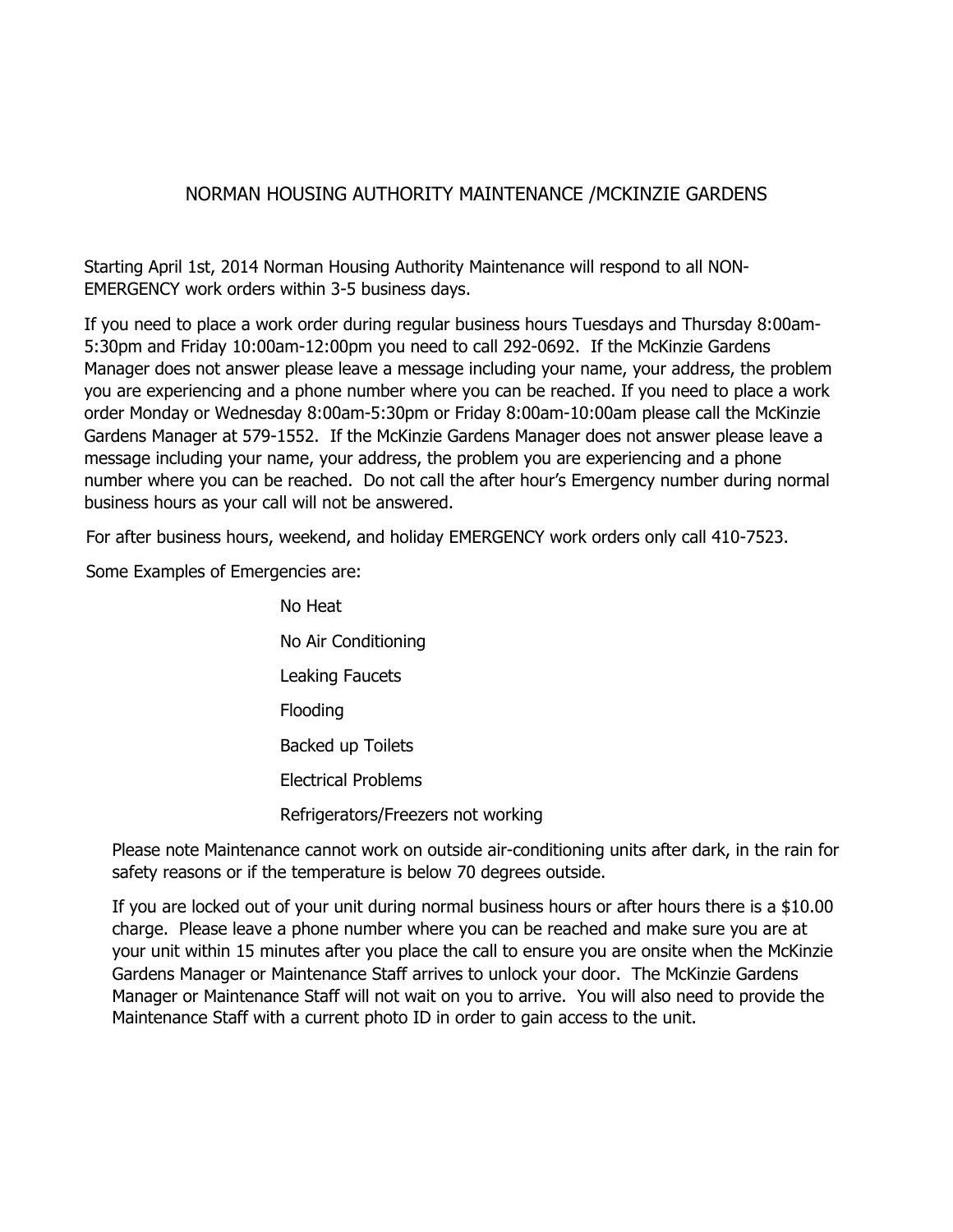## NORMAN HOUSING AUTHORITY MAINTENANCE /MCKINZIE GARDENS

Starting April 1st, 2014 Norman Housing Authority Maintenance will respond to all NON-EMERGENCY work orders within 3-5 business days.

If you need to place a work order during regular business hours Tuesdays and Thursday 8:00am-5:30pm and Friday 10:00am-12:00pm you need to call 292-0692. If the McKinzie Gardens Manager does not answer please leave a message including your name, your address, the problem you are experiencing and a phone number where you can be reached. If you need to place a work order Monday or Wednesday 8:00am-5:30pm or Friday 8:00am-10:00am please call the McKinzie Gardens Manager at 579-1552. If the McKinzie Gardens Manager does not answer please leave a message including your name, your address, the problem you are experiencing and a phone number where you can be reached. Do not call the after hour's Emergency number during normal business hours as your call will not be answered.

For after business hours, weekend, and holiday EMERGENCY work orders only call 410-7523.

Some Examples of Emergencies are:

No Heat No Air Conditioning Leaking Faucets Flooding Backed up Toilets Electrical Problems Refrigerators/Freezers not working

Please note Maintenance cannot work on outside air-conditioning units after dark, in the rain for safety reasons or if the temperature is below 70 degrees outside.

If you are locked out of your unit during normal business hours or after hours there is a \$10.00 charge. Please leave a phone number where you can be reached and make sure you are at your unit within 15 minutes after you place the call to ensure you are onsite when the McKinzie Gardens Manager or Maintenance Staff arrives to unlock your door. The McKinzie Gardens Manager or Maintenance Staff will not wait on you to arrive. You will also need to provide the Maintenance Staff with a current photo ID in order to gain access to the unit.